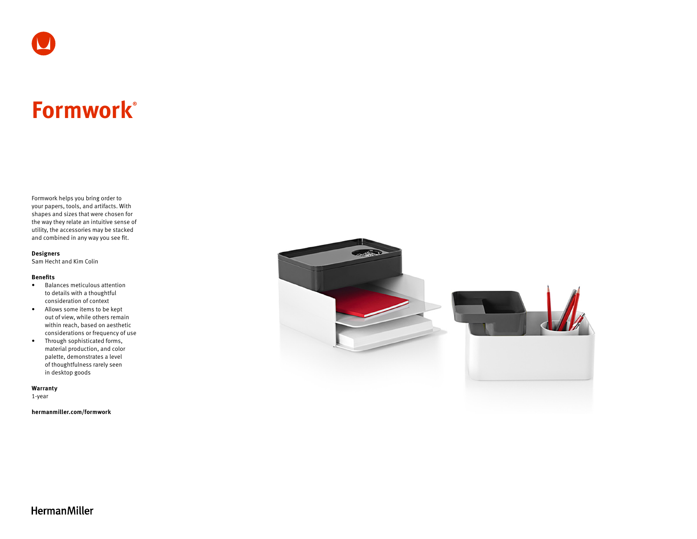# **Formwork®**

Formwork helps you bring order to your papers, tools, and artifacts. With shapes and sizes that were chosen for the way they relate an intuitive sense of utility, the accessories may be stacked and combined in any way you see fit.

#### **Designers**

Sam Hecht and Kim Colin

#### **Benefits**

- Balances meticulous attention to details with a thoughtful consideration of context
- Allows some items to be kept out of view, while others remain within reach, based on aesthetic considerations or frequency of use
- Through sophisticated forms, material production, and color palette, demonstrates a level of thoughtfulness rarely seen in desktop goods

**Warranty** 

1-year

**[hermanmiller.com/formwork](https://www.hermanmiller.com/products/accessories/desk-accessories/formwork/)**